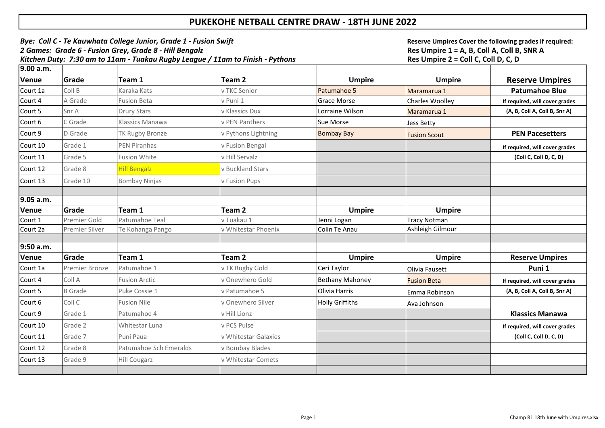| Bye: Coll C - Te Kauwhata College Junior, Grade 1 - Fusion Swift<br>2 Games: Grade 6 - Fusion Grey, Grade 8 - Hill Bengalz<br>Kitchen Duty: 7:30 am to 11am - Tuakau Rugby League / 11am to Finish - Pythons |                       |                          |                      |                              | Reserve Umpires Cover the following grades if required:<br>Res Umpire 1 = A, B, Coll A, Coll B, SNR A<br>Res Umpire 2 = Coll C, Coll D, C, D |                                |
|--------------------------------------------------------------------------------------------------------------------------------------------------------------------------------------------------------------|-----------------------|--------------------------|----------------------|------------------------------|----------------------------------------------------------------------------------------------------------------------------------------------|--------------------------------|
| 9.00 a.m.                                                                                                                                                                                                    |                       |                          |                      |                              |                                                                                                                                              |                                |
| Venue                                                                                                                                                                                                        | Grade                 | Team 1                   | Team 2               | <b>Umpire</b>                | <b>Umpire</b>                                                                                                                                | <b>Reserve Umpires</b>         |
| Court 1a                                                                                                                                                                                                     | Coll B                | Karaka Kats              | v TKC Senior         | Patumahoe 5                  | Maramarua 1                                                                                                                                  | <b>Patumahoe Blue</b>          |
| Court 4                                                                                                                                                                                                      | A Grade               | <b>Fusion Beta</b>       | v Puni 1             | <b>Grace Morse</b>           | <b>Charles Woolley</b>                                                                                                                       | If required, will cover grades |
| Court 5                                                                                                                                                                                                      | Snr A                 | <b>Drury Stars</b>       | v Klassics Dux       | Lorraine Wilson              | Maramarua 1                                                                                                                                  | (A, B, Coll A, Coll B, Snr A)  |
| Court 6                                                                                                                                                                                                      | C Grade               | <b>Klassics Manawa</b>   | v PEN Panthers       | <b>Sue Morse</b>             | <b>Jess Betty</b>                                                                                                                            |                                |
| Court 9                                                                                                                                                                                                      | D Grade               | <b>TK Rugby Bronze</b>   | v Pythons Lightning  | <b>Bombay Bay</b>            | <b>Fusion Scout</b>                                                                                                                          | <b>PEN Pacesetters</b>         |
| Court 10                                                                                                                                                                                                     | Grade 1               | <b>PEN Piranhas</b>      | v Fusion Bengal      |                              |                                                                                                                                              | If required, will cover grades |
| Court 11                                                                                                                                                                                                     | Grade 5               | <b>Fusion White</b>      | v Hill Servalz       |                              |                                                                                                                                              | (Coll C, Coll D, C, D)         |
| Court 12                                                                                                                                                                                                     | Grade 8               | <b>Hill Bengalz</b>      | v Buckland Stars     |                              |                                                                                                                                              |                                |
| Court 13                                                                                                                                                                                                     | Grade 10              | <b>Bombay Ninjas</b>     | v Fusion Pups        |                              |                                                                                                                                              |                                |
| 9.05 a.m.                                                                                                                                                                                                    |                       |                          |                      |                              |                                                                                                                                              |                                |
|                                                                                                                                                                                                              | Grade                 |                          |                      |                              |                                                                                                                                              |                                |
| Venue<br>Court 1                                                                                                                                                                                             | Premier Gold          | Team 1<br>Patumahoe Teal | Team 2<br>v Tuakau 1 | <b>Umpire</b><br>Jenni Logan | <b>Umpire</b><br><b>Tracy Notman</b>                                                                                                         |                                |
| Court 2a                                                                                                                                                                                                     | <b>Premier Silver</b> | Te Kohanga Pango         | v Whitestar Phoenix  | Colin Te Anau                | Ashleigh Gilmour                                                                                                                             |                                |
|                                                                                                                                                                                                              |                       |                          |                      |                              |                                                                                                                                              |                                |
| $9:50$ a.m.                                                                                                                                                                                                  |                       |                          |                      |                              |                                                                                                                                              |                                |
| Venue                                                                                                                                                                                                        | Grade                 | Team 1                   | Team 2               | <b>Umpire</b>                | <b>Umpire</b>                                                                                                                                | <b>Reserve Umpires</b>         |
| Court 1a                                                                                                                                                                                                     | <b>Premier Bronze</b> | Patumahoe 1              | v TK Rugby Gold      | Ceri Taylor                  | Olivia Fausett                                                                                                                               | Puni 1                         |
| Court 4                                                                                                                                                                                                      | Coll A                | <b>Fusion Arctic</b>     | Onewhero Gold        | <b>Bethany Mahoney</b>       | <b>Fusion Beta</b>                                                                                                                           | If required, will cover grades |
| Court 5                                                                                                                                                                                                      | <b>B</b> Grade        | Puke Cossie 1            | v Patumahoe 5        | <b>Olivia Harris</b>         | Emma Robinson                                                                                                                                | (A, B, Coll A, Coll B, Snr A)  |
| Court 6                                                                                                                                                                                                      | Coll C                | <b>Fusion Nile</b>       | Onewhero Silver      | <b>Holly Griffiths</b>       | Ava Johnson                                                                                                                                  |                                |
| Court 9                                                                                                                                                                                                      | Grade 1               | Patumahoe 4              | v Hill Lionz         |                              |                                                                                                                                              | <b>Klassics Manawa</b>         |
| Court 10                                                                                                                                                                                                     | Grade 2               | Whitestar Luna           | v PCS Pulse          |                              |                                                                                                                                              | If required, will cover grades |
| Court 11                                                                                                                                                                                                     | Grade 7               | Puni Paua                | v Whitestar Galaxies |                              |                                                                                                                                              | (Coll C, Coll D, C, D)         |
| Court 12                                                                                                                                                                                                     | Grade 8               | Patumahoe Sch Emeralds   | v Bombay Blades      |                              |                                                                                                                                              |                                |
| Court 13                                                                                                                                                                                                     | Grade 9               | <b>Hill Cougarz</b>      | v Whitestar Comets   |                              |                                                                                                                                              |                                |
|                                                                                                                                                                                                              |                       |                          |                      |                              |                                                                                                                                              |                                |

## **PUKEKOHE NETBALL CENTRE DRAW - 18TH JUNE 2022**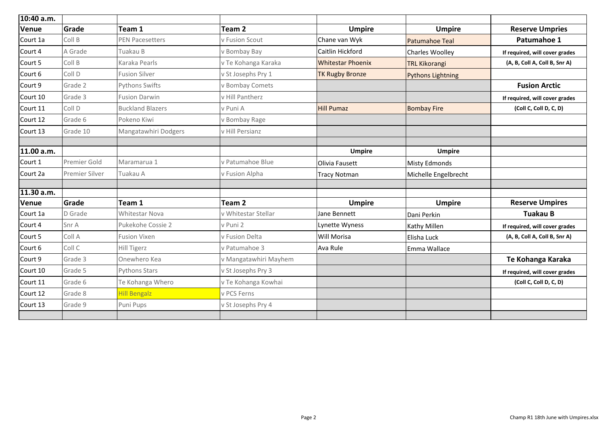| 10:40 a.m.   |                       |                         |                       |                          |                          |                                |
|--------------|-----------------------|-------------------------|-----------------------|--------------------------|--------------------------|--------------------------------|
| Venue        | Grade                 | Team 1                  | Team <sub>2</sub>     | <b>Umpire</b>            | <b>Umpire</b>            | <b>Reserve Umpries</b>         |
| Court 1a     | Coll B                | <b>PEN Pacesetters</b>  | v Fusion Scout        | Chane van Wyk            | <b>Patumahoe Teal</b>    | Patumahoe 1                    |
| Court 4      | A Grade               | Tuakau B                | v Bombay Bay          | Caitlin Hickford         | <b>Charles Woolley</b>   | If required, will cover grades |
| Court 5      | Coll B                | Karaka Pearls           | v Te Kohanga Karaka   | <b>Whitestar Phoenix</b> | <b>TRL Kikorangi</b>     | (A, B, Coll A, Coll B, Snr A)  |
| Court 6      | Coll D                | <b>Fusion Silver</b>    | v St Josephs Pry 1    | <b>TK Rugby Bronze</b>   | <b>Pythons Lightning</b> |                                |
| Court 9      | Grade 2               | <b>Pythons Swifts</b>   | v Bombay Comets       |                          |                          | <b>Fusion Arctic</b>           |
| Court 10     | Grade 3               | <b>Fusion Darwin</b>    | v Hill Pantherz       |                          |                          | If required, will cover grades |
| Court 11     | Coll D                | <b>Buckland Blazers</b> | v Puni A              | <b>Hill Pumaz</b>        | <b>Bombay Fire</b>       | (Coll C, Coll D, C, D)         |
| Court 12     | Grade 6               | Pokeno Kiwi             | v Bombay Rage         |                          |                          |                                |
| Court 13     | Grade 10              | Mangatawhiri Dodgers    | v Hill Persianz       |                          |                          |                                |
|              |                       |                         |                       |                          |                          |                                |
| 11.00 a.m.   |                       |                         |                       | <b>Umpire</b>            | <b>Umpire</b>            |                                |
| Court 1      | Premier Gold          | Maramarua 1             | v Patumahoe Blue      | <b>Olivia Fausett</b>    | Misty Edmonds            |                                |
| Court 2a     | <b>Premier Silver</b> | Tuakau A                | v Fusion Alpha        | Tracy Notman             | Michelle Engelbrecht     |                                |
|              |                       |                         |                       |                          |                          |                                |
| 11.30 a.m.   |                       |                         |                       |                          |                          |                                |
| <b>Venue</b> | Grade                 | Team 1                  | <b>Team 2</b>         | <b>Umpire</b>            | <b>Umpire</b>            | <b>Reserve Umpires</b>         |
| Court 1a     | D Grade               | <b>Whitestar Nova</b>   | v Whitestar Stellar   | <b>Jane Bennett</b>      | Dani Perkin              | <b>Tuakau B</b>                |
| Court 4      | Snr A                 | Pukekohe Cossie 2       | v Puni 2              | Lynette Wyness           | <b>Kathy Millen</b>      | If required, will cover grades |
| Court 5      | Coll A                | <b>Fusion Vixen</b>     | v Fusion Delta        | <b>Will Morisa</b>       | <b>Elisha Luck</b>       | (A, B, Coll A, Coll B, Snr A)  |
| Court 6      | Coll C                | <b>Hill Tigerz</b>      | v Patumahoe 3         | Ava Rule                 | Emma Wallace             |                                |
| Court 9      | Grade 3               | Onewhero Kea            | v Mangatawhiri Mayhem |                          |                          | Te Kohanga Karaka              |
| Court 10     | Grade 5               | <b>Pythons Stars</b>    | v St Josephs Pry 3    |                          |                          | If required, will cover grades |
| Court 11     | Grade 6               | Te Kohanga Whero        | v Te Kohanga Kowhai   |                          |                          | (Coll C, Coll D, C, D)         |
| Court 12     | Grade 8               | <b>Hill Bengalz</b>     | v PCS Ferns           |                          |                          |                                |
| Court 13     | Grade 9               | Puni Pups               | v St Josephs Pry 4    |                          |                          |                                |
|              |                       |                         |                       |                          |                          |                                |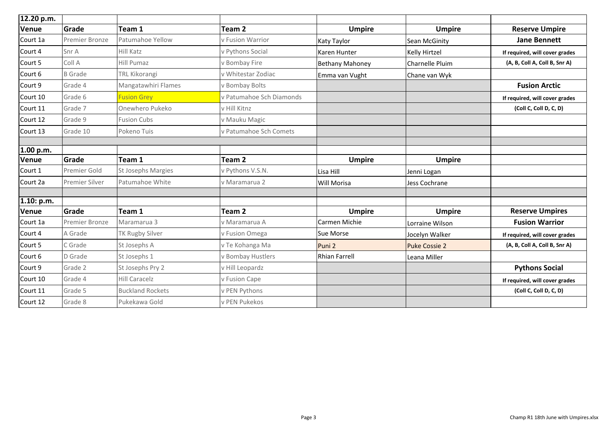| 12.20 p.m.   |                       |                           |                          |                        |                        |                                |
|--------------|-----------------------|---------------------------|--------------------------|------------------------|------------------------|--------------------------------|
| Venue        | Grade                 | Team 1                    | Team 2                   | <b>Umpire</b>          | <b>Umpire</b>          | <b>Reserve Umpire</b>          |
| Court 1a     | <b>Premier Bronze</b> | <b>Patumahoe Yellow</b>   | v Fusion Warrior         | Katy Taylor            | <b>Sean McGinity</b>   | <b>Jane Bennett</b>            |
| Court 4      | Snr A                 | Hill Katz                 | v Pythons Social         | Karen Hunter           | <b>Kelly Hirtzel</b>   | If required, will cover grades |
| Court 5      | Coll A                | <b>Hill Pumaz</b>         | v Bombay Fire            | <b>Bethany Mahoney</b> | <b>Charnelle Pluim</b> | (A, B, Coll A, Coll B, Snr A)  |
| Court 6      | <b>B</b> Grade        | <b>TRL Kikorangi</b>      | v Whitestar Zodiac       | Emma van Vught         | Chane van Wyk          |                                |
| Court 9      | Grade 4               | Mangatawhiri Flames       | v Bombay Bolts           |                        |                        | <b>Fusion Arctic</b>           |
| Court 10     | Grade 6               | <b>Fusion Grey</b>        | v Patumahoe Sch Diamonds |                        |                        | If required, will cover grades |
| Court 11     | Grade 7               | Onewhero Pukeko           | v Hill Kitnz             |                        |                        | (Coll C, Coll D, C, D)         |
| Court 12     | Grade 9               | <b>Fusion Cubs</b>        | v Mauku Magic            |                        |                        |                                |
| Court 13     | Grade 10              | Pokeno Tuis               | v Patumahoe Sch Comets   |                        |                        |                                |
| 1.00 p.m.    |                       |                           |                          |                        |                        |                                |
| <b>Venue</b> | <b>Grade</b>          | Team 1                    | <b>Team 2</b>            | <b>Umpire</b>          | <b>Umpire</b>          |                                |
| Court 1      | <b>Premier Gold</b>   | <b>St Josephs Margies</b> | v Pythons V.S.N.         | Lisa Hill              | Jenni Logan            |                                |
| Court 2a     | <b>Premier Silver</b> | Patumahoe White           | v Maramarua 2            | Will Morisa            | Jess Cochrane          |                                |
| 1.10: p.m.   |                       |                           |                          |                        |                        |                                |
| <b>Venue</b> | Grade                 | Team 1                    | Team 2                   | <b>Umpire</b>          | <b>Umpire</b>          | <b>Reserve Umpires</b>         |
| Court 1a     | <b>Premier Bronze</b> | Maramarua 3               | v Maramarua A            | <b>Carmen Michie</b>   | Lorraine Wilson        | <b>Fusion Warrior</b>          |
| Court 4      | A Grade               | <b>TK Rugby Silver</b>    | v Fusion Omega           | <b>Sue Morse</b>       | Jocelyn Walker         | If required, will cover grades |
| Court 5      | C Grade               | St Josephs A              | v Te Kohanga Ma          | Puni 2                 | <b>Puke Cossie 2</b>   | (A, B, Coll A, Coll B, Snr A)  |
| Court 6      | D Grade               | St Josephs 1              | v Bombay Hustlers        | Rhian Farrell          | Leana Miller           |                                |
| Court 9      | Grade 2               | St Josephs Pry 2          | v Hill Leopardz          |                        |                        | <b>Pythons Social</b>          |
| Court 10     | Grade 4               | <b>Hill Caracelz</b>      | v Fusion Cape            |                        |                        | If required, will cover grades |
| Court 11     | Grade 5               | <b>Buckland Rockets</b>   | v PEN Pythons            |                        |                        | (Coll C, Coll D, C, D)         |
| Court 12     | Grade 8               | Pukekawa Gold             | v PEN Pukekos            |                        |                        |                                |

| е | <b>Reserve Umpire</b>          |  |  |  |  |  |
|---|--------------------------------|--|--|--|--|--|
|   | <b>Jane Bennett</b>            |  |  |  |  |  |
|   | If required, will cover grades |  |  |  |  |  |
|   | (A, B, Coll A, Coll B, Snr A)  |  |  |  |  |  |
|   |                                |  |  |  |  |  |
|   | <b>Fusion Arctic</b>           |  |  |  |  |  |
|   | If required, will cover grades |  |  |  |  |  |
|   | (Coll C, Coll D, C, D)         |  |  |  |  |  |
|   |                                |  |  |  |  |  |
|   |                                |  |  |  |  |  |
|   |                                |  |  |  |  |  |
|   |                                |  |  |  |  |  |
| e |                                |  |  |  |  |  |
|   |                                |  |  |  |  |  |
|   |                                |  |  |  |  |  |
|   |                                |  |  |  |  |  |
| е | <b>Reserve Umpires</b>         |  |  |  |  |  |
|   | <b>Fusion Warrior</b>          |  |  |  |  |  |
|   | If required, will cover grades |  |  |  |  |  |
|   | (A, B, Coll A, Coll B, Snr A)  |  |  |  |  |  |
|   |                                |  |  |  |  |  |
|   | <b>Pythons Social</b>          |  |  |  |  |  |
|   | If required, will cover grades |  |  |  |  |  |
|   | (Coll C, Coll D, C, D)         |  |  |  |  |  |
|   |                                |  |  |  |  |  |